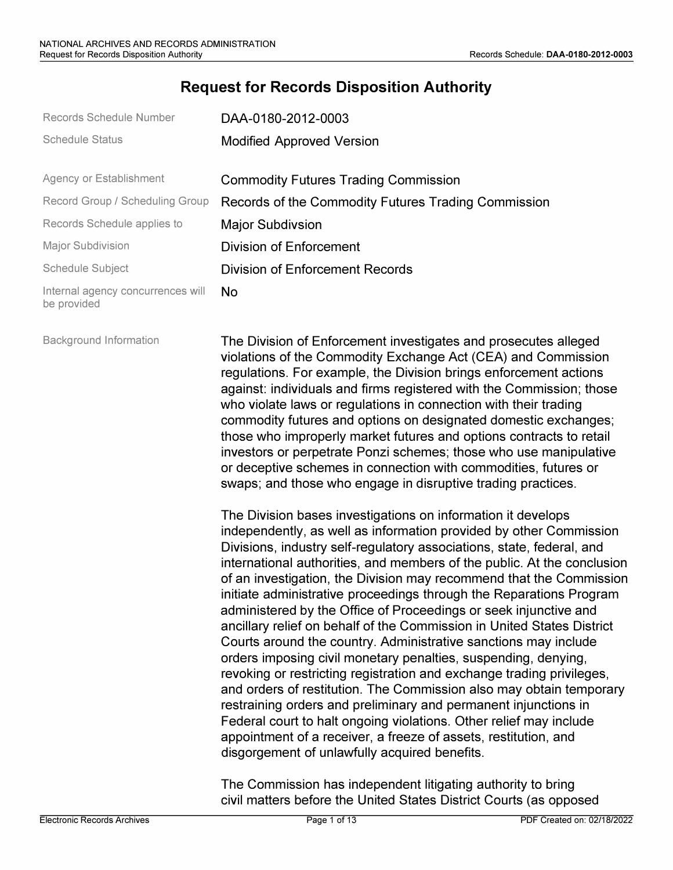## **Request for Records Disposition Authority**

| Records Schedule Number                          | DAA-0180-2012-0003                                  |
|--------------------------------------------------|-----------------------------------------------------|
| <b>Schedule Status</b>                           | <b>Modified Approved Version</b>                    |
| Agency or Establishment                          | <b>Commodity Futures Trading Commission</b>         |
| Record Group / Scheduling Group                  | Records of the Commodity Futures Trading Commission |
| Records Schedule applies to                      | <b>Major Subdivsion</b>                             |
| <b>Major Subdivision</b>                         | Division of Enforcement                             |
| Schedule Subject                                 | Division of Enforcement Records                     |
| Internal agency concurrences will<br>be provided | No.                                                 |

Background Information The Division of Enforcement investigates and prosecutes alleged violations of the Commodity Exchange Act (CEA) and Commission regulations. For example, the Division brings enforcement actions against: individuals and firms registered with the Commission; those who violate laws or regulations in connection with their trading commodity futures and options on designated domestic exchanges; those who improperly market futures and options contracts to retail investors or perpetrate Ponzi schemes; those who use manipulative or deceptive schemes in connection with commodities, futures or swaps; and those who engage in disruptive trading practices.

> The Division bases investigations on information it develops independently, as well as information provided by other Commission Divisions, industry self-regulatory associations, state, federal, and international authorities, and members of the public. At the conclusion of an investigation, the Division may recommend that the Commission initiate administrative proceedings through the Reparations Program administered by the Office of Proceedings or seek injunctive and ancillary relief on behalf of the Commission in United States District Courts around the country. Administrative sanctions may include orders imposing civil monetary penalties, suspending, denying, revoking or restricting registration and exchange trading privileges, and orders of restitution. The Commission also may obtain temporary restraining orders and preliminary and permanent injunctions in Federal court to halt ongoing violations. Other relief may include appointment of a receiver, a freeze of assets, restitution, and disgorgement of unlawfully acquired benefits.

The Commission has independent litigating authority to bring civil matters before the United States District Courts (as opposed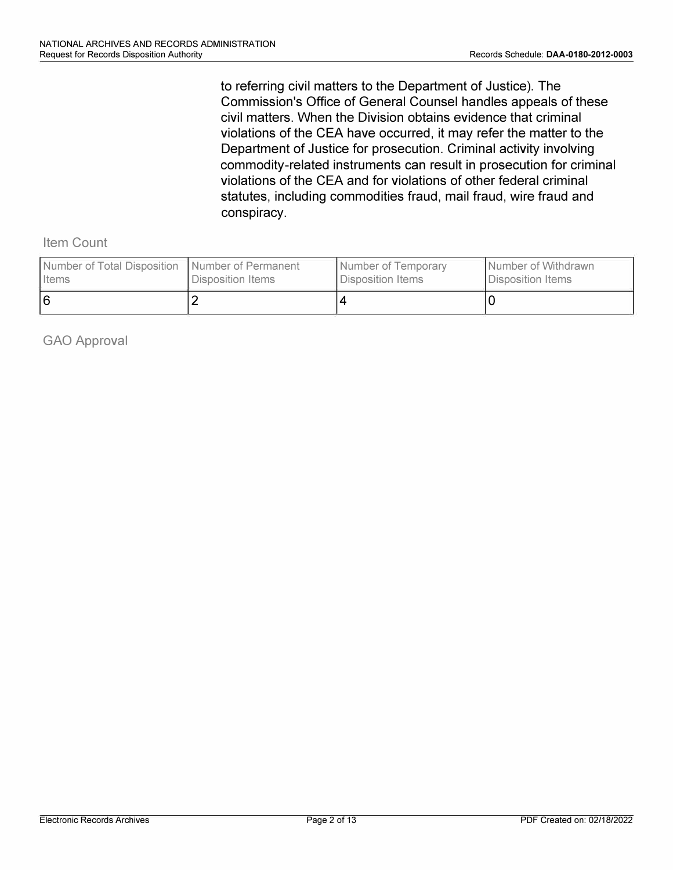to referring civil matters to the Department of Justice). The Commission's Office of General Counsel handles appeals of these civil matters. When the Division obtains evidence that criminal violations of the CEA have occurred, it may refer the matter to the Department of Justice for prosecution. Criminal activity involving commodity-related instruments can result in prosecution for criminal violations of the CEA and for violations of other federal criminal statutes, including commodities fraud, mail fraud, wire fraud and conspiracy.

Item Count

| Number of Total Disposition   Number of Permanent | Disposition Items | Number of Temporary | I Number of Withdrawn |
|---------------------------------------------------|-------------------|---------------------|-----------------------|
| <b>I</b> Items                                    |                   | Disposition Items   | Disposition Items     |
| 16                                                |                   |                     |                       |

GAO Approval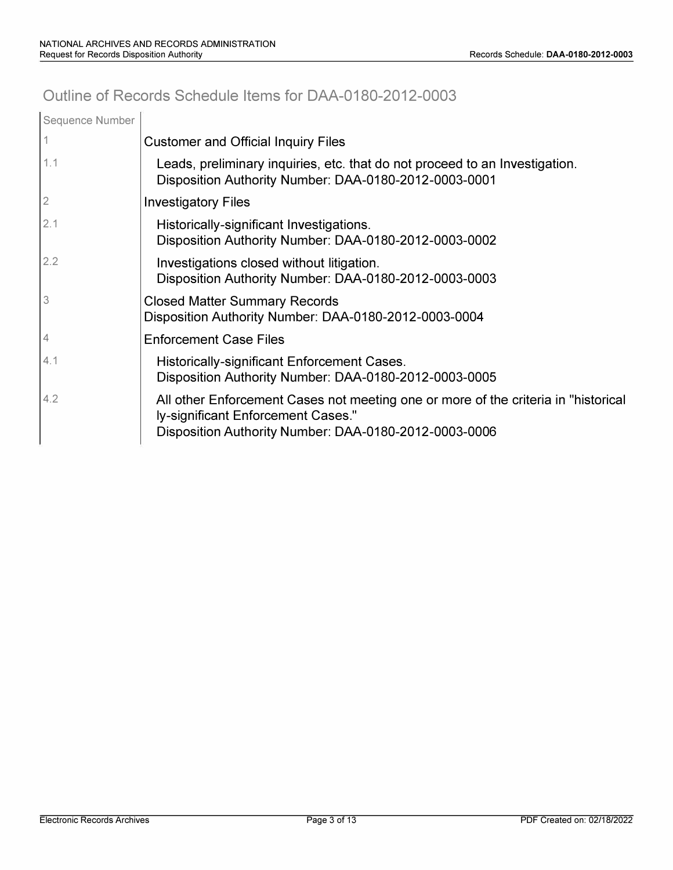# **Outline of Records Schedule Items for DAA-0180-2012-0003**

| Sequence Number |                                                                                                                                                                                    |
|-----------------|------------------------------------------------------------------------------------------------------------------------------------------------------------------------------------|
|                 | <b>Customer and Official Inquiry Files</b>                                                                                                                                         |
| 1.1             | Leads, preliminary inquiries, etc. that do not proceed to an Investigation.<br>Disposition Authority Number: DAA-0180-2012-0003-0001                                               |
| $\overline{2}$  | <b>Investigatory Files</b>                                                                                                                                                         |
| 2.1             | Historically-significant Investigations.<br>Disposition Authority Number: DAA-0180-2012-0003-0002                                                                                  |
| 2.2             | Investigations closed without litigation.<br>Disposition Authority Number: DAA-0180-2012-0003-0003                                                                                 |
| 3               | <b>Closed Matter Summary Records</b><br>Disposition Authority Number: DAA-0180-2012-0003-0004                                                                                      |
| $\overline{4}$  | <b>Enforcement Case Files</b>                                                                                                                                                      |
| 4.1             | Historically-significant Enforcement Cases.<br>Disposition Authority Number: DAA-0180-2012-0003-0005                                                                               |
| 4.2             | All other Enforcement Cases not meeting one or more of the criteria in "historical"<br>ly-significant Enforcement Cases."<br>Disposition Authority Number: DAA-0180-2012-0003-0006 |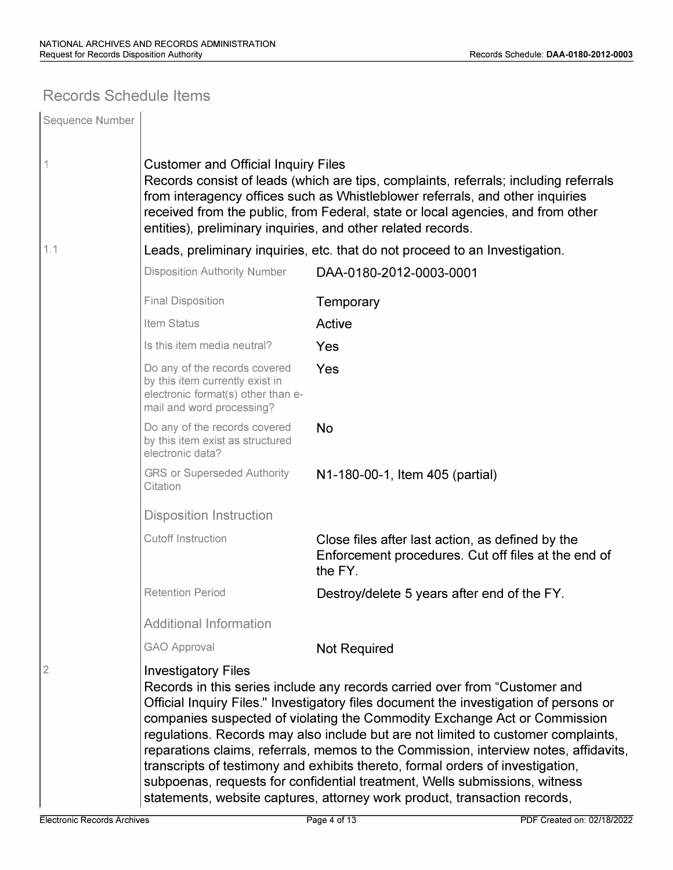## **Records Schedule Items**

| Sequence Number |                                                                                                                                                                                                                                                                                                                                                                                                                                                                                                                                                                                                                                                                                                          |                                                                                                                    |  |  |  |
|-----------------|----------------------------------------------------------------------------------------------------------------------------------------------------------------------------------------------------------------------------------------------------------------------------------------------------------------------------------------------------------------------------------------------------------------------------------------------------------------------------------------------------------------------------------------------------------------------------------------------------------------------------------------------------------------------------------------------------------|--------------------------------------------------------------------------------------------------------------------|--|--|--|
|                 | <b>Customer and Official Inquiry Files</b><br>Records consist of leads (which are tips, complaints, referrals; including referrals<br>from interagency offices such as Whistleblower referrals, and other inquiries<br>received from the public, from Federal, state or local agencies, and from other<br>entities), preliminary inquiries, and other related records.                                                                                                                                                                                                                                                                                                                                   |                                                                                                                    |  |  |  |
| 1.1             |                                                                                                                                                                                                                                                                                                                                                                                                                                                                                                                                                                                                                                                                                                          | Leads, preliminary inquiries, etc. that do not proceed to an Investigation.                                        |  |  |  |
|                 | <b>Disposition Authority Number</b>                                                                                                                                                                                                                                                                                                                                                                                                                                                                                                                                                                                                                                                                      | DAA-0180-2012-0003-0001                                                                                            |  |  |  |
|                 | <b>Final Disposition</b>                                                                                                                                                                                                                                                                                                                                                                                                                                                                                                                                                                                                                                                                                 | Temporary                                                                                                          |  |  |  |
|                 | Item Status                                                                                                                                                                                                                                                                                                                                                                                                                                                                                                                                                                                                                                                                                              | Active                                                                                                             |  |  |  |
|                 | Is this item media neutral?                                                                                                                                                                                                                                                                                                                                                                                                                                                                                                                                                                                                                                                                              | Yes                                                                                                                |  |  |  |
|                 | Do any of the records covered<br>by this item currently exist in<br>electronic format(s) other than e-<br>mail and word processing?                                                                                                                                                                                                                                                                                                                                                                                                                                                                                                                                                                      | Yes                                                                                                                |  |  |  |
|                 | Do any of the records covered<br>by this item exist as structured<br>electronic data?                                                                                                                                                                                                                                                                                                                                                                                                                                                                                                                                                                                                                    | <b>No</b>                                                                                                          |  |  |  |
|                 | <b>GRS or Superseded Authority</b><br>Citation                                                                                                                                                                                                                                                                                                                                                                                                                                                                                                                                                                                                                                                           | N1-180-00-1, Item 405 (partial)                                                                                    |  |  |  |
|                 | <b>Disposition Instruction</b>                                                                                                                                                                                                                                                                                                                                                                                                                                                                                                                                                                                                                                                                           |                                                                                                                    |  |  |  |
|                 | <b>Cutoff Instruction</b>                                                                                                                                                                                                                                                                                                                                                                                                                                                                                                                                                                                                                                                                                | Close files after last action, as defined by the<br>Enforcement procedures. Cut off files at the end of<br>the FY. |  |  |  |
|                 | <b>Retention Period</b>                                                                                                                                                                                                                                                                                                                                                                                                                                                                                                                                                                                                                                                                                  | Destroy/delete 5 years after end of the FY.                                                                        |  |  |  |
|                 | <b>Additional Information</b>                                                                                                                                                                                                                                                                                                                                                                                                                                                                                                                                                                                                                                                                            |                                                                                                                    |  |  |  |
|                 | <b>GAO Approval</b>                                                                                                                                                                                                                                                                                                                                                                                                                                                                                                                                                                                                                                                                                      | <b>Not Required</b>                                                                                                |  |  |  |
| 2               | <b>Investigatory Files</b><br>Records in this series include any records carried over from "Customer and<br>Official Inquiry Files." Investigatory files document the investigation of persons or<br>companies suspected of violating the Commodity Exchange Act or Commission<br>regulations. Records may also include but are not limited to customer complaints,<br>reparations claims, referrals, memos to the Commission, interview notes, affidavits,<br>transcripts of testimony and exhibits thereto, formal orders of investigation,<br>subpoenas, requests for confidential treatment, Wells submissions, witness<br>statements, website captures, attorney work product, transaction records, |                                                                                                                    |  |  |  |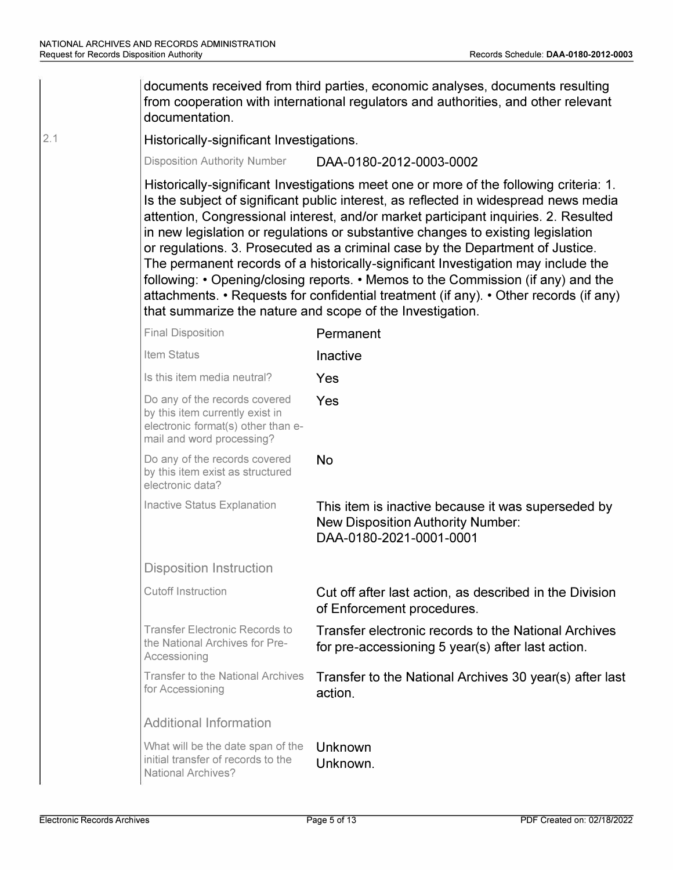2.1

| documents received from third parties, economic analyses, documents resulting<br>from cooperation with international regulators and authorities, and other relevant<br>documentation.                                                                                                                                                                                                                                                                                                                                                                                                                                                                                                                                                                                      |                                                                                                                           |  |  |
|----------------------------------------------------------------------------------------------------------------------------------------------------------------------------------------------------------------------------------------------------------------------------------------------------------------------------------------------------------------------------------------------------------------------------------------------------------------------------------------------------------------------------------------------------------------------------------------------------------------------------------------------------------------------------------------------------------------------------------------------------------------------------|---------------------------------------------------------------------------------------------------------------------------|--|--|
| Historically-significant Investigations.                                                                                                                                                                                                                                                                                                                                                                                                                                                                                                                                                                                                                                                                                                                                   |                                                                                                                           |  |  |
| <b>Disposition Authority Number</b>                                                                                                                                                                                                                                                                                                                                                                                                                                                                                                                                                                                                                                                                                                                                        | DAA-0180-2012-0003-0002                                                                                                   |  |  |
| Historically-significant Investigations meet one or more of the following criteria: 1.<br>Is the subject of significant public interest, as reflected in widespread news media<br>attention, Congressional interest, and/or market participant inquiries. 2. Resulted<br>in new legislation or regulations or substantive changes to existing legislation<br>or regulations. 3. Prosecuted as a criminal case by the Department of Justice.<br>The permanent records of a historically-significant Investigation may include the<br>following: • Opening/closing reports. • Memos to the Commission (if any) and the<br>attachments. • Requests for confidential treatment (if any). • Other records (if any)<br>that summarize the nature and scope of the Investigation. |                                                                                                                           |  |  |
| <b>Final Disposition</b>                                                                                                                                                                                                                                                                                                                                                                                                                                                                                                                                                                                                                                                                                                                                                   | Permanent                                                                                                                 |  |  |
| Item Status                                                                                                                                                                                                                                                                                                                                                                                                                                                                                                                                                                                                                                                                                                                                                                | Inactive                                                                                                                  |  |  |
| Is this item media neutral?                                                                                                                                                                                                                                                                                                                                                                                                                                                                                                                                                                                                                                                                                                                                                | Yes                                                                                                                       |  |  |
| Do any of the records covered<br>by this item currently exist in<br>electronic format(s) other than e-<br>mail and word processing?                                                                                                                                                                                                                                                                                                                                                                                                                                                                                                                                                                                                                                        | Yes                                                                                                                       |  |  |
| Do any of the records covered<br>by this item exist as structured<br>electronic data?                                                                                                                                                                                                                                                                                                                                                                                                                                                                                                                                                                                                                                                                                      | <b>No</b>                                                                                                                 |  |  |
| Inactive Status Explanation                                                                                                                                                                                                                                                                                                                                                                                                                                                                                                                                                                                                                                                                                                                                                | This item is inactive because it was superseded by<br><b>New Disposition Authority Number:</b><br>DAA-0180-2021-0001-0001 |  |  |
| <b>Disposition Instruction</b>                                                                                                                                                                                                                                                                                                                                                                                                                                                                                                                                                                                                                                                                                                                                             |                                                                                                                           |  |  |
| <b>Cutoff Instruction</b>                                                                                                                                                                                                                                                                                                                                                                                                                                                                                                                                                                                                                                                                                                                                                  | Cut off after last action, as described in the Division<br>of Enforcement procedures.                                     |  |  |
| <b>Transfer Electronic Records to</b><br>the National Archives for Pre-<br>Accessioning                                                                                                                                                                                                                                                                                                                                                                                                                                                                                                                                                                                                                                                                                    | Transfer electronic records to the National Archives<br>for pre-accessioning 5 year(s) after last action.                 |  |  |
| <b>Transfer to the National Archives</b><br>for Accessioning                                                                                                                                                                                                                                                                                                                                                                                                                                                                                                                                                                                                                                                                                                               | Transfer to the National Archives 30 year(s) after last<br>action.                                                        |  |  |
| <b>Additional Information</b>                                                                                                                                                                                                                                                                                                                                                                                                                                                                                                                                                                                                                                                                                                                                              |                                                                                                                           |  |  |
| What will be the date span of the<br>initial transfer of records to the<br><b>National Archives?</b>                                                                                                                                                                                                                                                                                                                                                                                                                                                                                                                                                                                                                                                                       | Unknown<br>Unknown.                                                                                                       |  |  |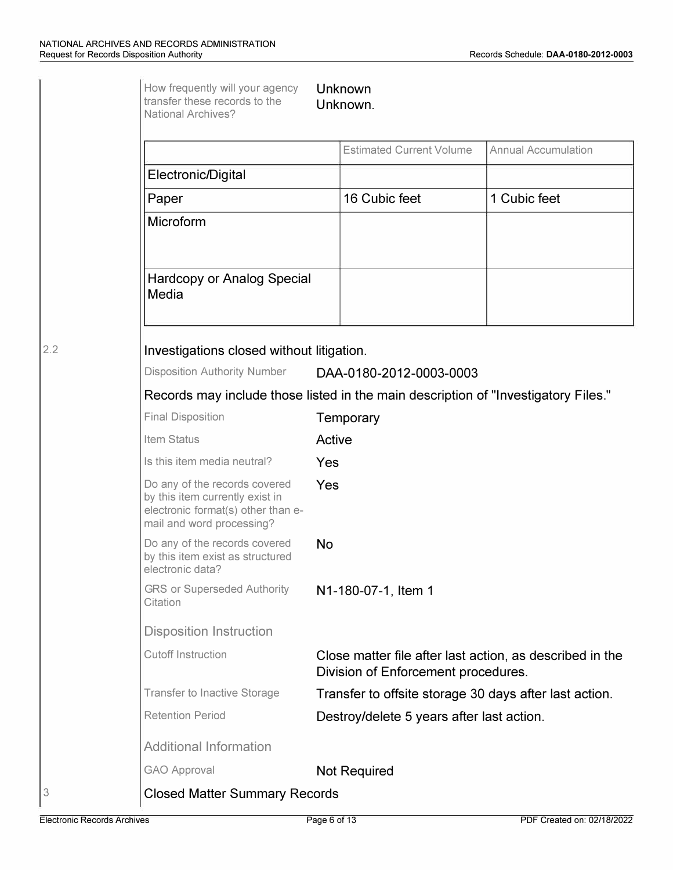|                                                                                                                                     | <b>Estimated Current Volume</b>                                                                 | <b>Annual Accumulation</b> |
|-------------------------------------------------------------------------------------------------------------------------------------|-------------------------------------------------------------------------------------------------|----------------------------|
| Electronic/Digital                                                                                                                  |                                                                                                 |                            |
| Paper                                                                                                                               | 16 Cubic feet                                                                                   | 1 Cubic feet               |
| Microform                                                                                                                           |                                                                                                 |                            |
| <b>Hardcopy or Analog Special</b><br>Media                                                                                          |                                                                                                 |                            |
| Investigations closed without litigation.                                                                                           |                                                                                                 |                            |
| <b>Disposition Authority Number</b>                                                                                                 | DAA-0180-2012-0003-0003                                                                         |                            |
|                                                                                                                                     | Records may include those listed in the main description of "Investigatory Files."              |                            |
| <b>Final Disposition</b>                                                                                                            | Temporary                                                                                       |                            |
| Item Status                                                                                                                         | Active                                                                                          |                            |
| Is this item media neutral?                                                                                                         | Yes                                                                                             |                            |
| Do any of the records covered<br>by this item currently exist in<br>electronic format(s) other than e-<br>mail and word processing? | Yes                                                                                             |                            |
| Do any of the records covered<br>by this item exist as structured<br>electronic data?                                               | <b>No</b>                                                                                       |                            |
| <b>GRS or Superseded Authority</b><br>Citation                                                                                      | N1-180-07-1, Item 1                                                                             |                            |
| <b>Disposition Instruction</b>                                                                                                      |                                                                                                 |                            |
| <b>Cutoff Instruction</b>                                                                                                           | Close matter file after last action, as described in the<br>Division of Enforcement procedures. |                            |
| <b>Transfer to Inactive Storage</b>                                                                                                 | Transfer to offsite storage 30 days after last action.                                          |                            |
| <b>Retention Period</b>                                                                                                             | Destroy/delete 5 years after last action.                                                       |                            |
|                                                                                                                                     |                                                                                                 |                            |
| <b>Additional Information</b>                                                                                                       |                                                                                                 |                            |

3

**2.2**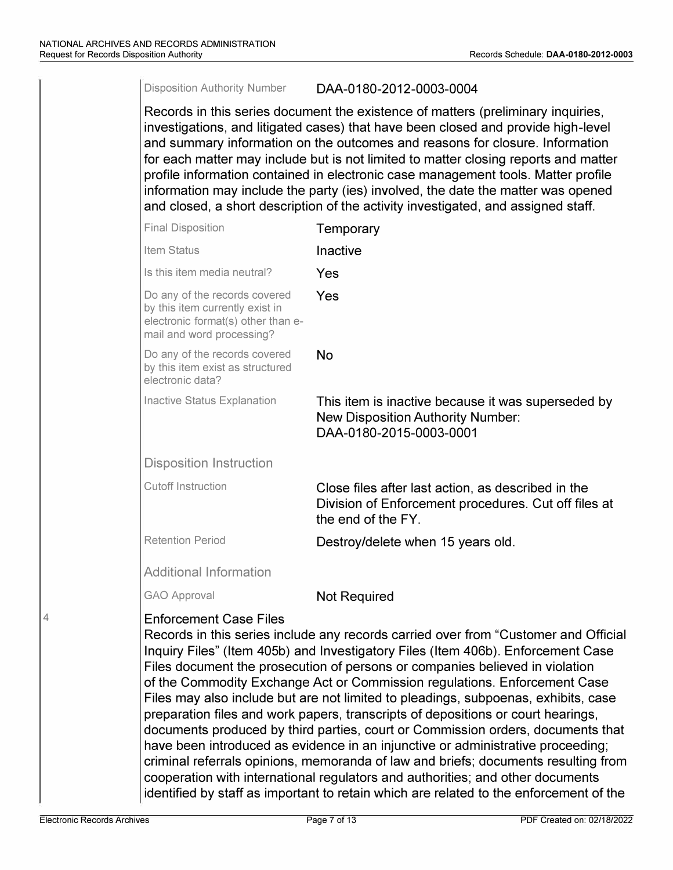#### Disposition Authority Number DAA-0180-2012-0003-0004

Records in this series document the existence of matters (preliminary inquiries, investigations, and litigated cases) that have been closed and provide high-level and summary information on the outcomes and reasons for closure. Information for each matter may include but is not limited to matter closing reports and matter profile information contained in electronic case management tools. Matter profile information may include the party (ies) involved, the date the matter was opened and closed, a short description of the activity investigated, and assigned staff.

| <b>Final Disposition</b>                                                                                                            | Temporary                                                                                                                                                                                                                                                                                                                                                                                                                                                                                                                                                                                                                                                                                                                                                                                                                                                                                                                                              |
|-------------------------------------------------------------------------------------------------------------------------------------|--------------------------------------------------------------------------------------------------------------------------------------------------------------------------------------------------------------------------------------------------------------------------------------------------------------------------------------------------------------------------------------------------------------------------------------------------------------------------------------------------------------------------------------------------------------------------------------------------------------------------------------------------------------------------------------------------------------------------------------------------------------------------------------------------------------------------------------------------------------------------------------------------------------------------------------------------------|
| Item Status                                                                                                                         | Inactive                                                                                                                                                                                                                                                                                                                                                                                                                                                                                                                                                                                                                                                                                                                                                                                                                                                                                                                                               |
| Is this item media neutral?                                                                                                         | Yes                                                                                                                                                                                                                                                                                                                                                                                                                                                                                                                                                                                                                                                                                                                                                                                                                                                                                                                                                    |
| Do any of the records covered<br>by this item currently exist in<br>electronic format(s) other than e-<br>mail and word processing? | Yes                                                                                                                                                                                                                                                                                                                                                                                                                                                                                                                                                                                                                                                                                                                                                                                                                                                                                                                                                    |
| Do any of the records covered<br>by this item exist as structured<br>electronic data?                                               | <b>No</b>                                                                                                                                                                                                                                                                                                                                                                                                                                                                                                                                                                                                                                                                                                                                                                                                                                                                                                                                              |
| Inactive Status Explanation                                                                                                         | This item is inactive because it was superseded by<br><b>New Disposition Authority Number:</b><br>DAA-0180-2015-0003-0001                                                                                                                                                                                                                                                                                                                                                                                                                                                                                                                                                                                                                                                                                                                                                                                                                              |
| <b>Disposition Instruction</b>                                                                                                      |                                                                                                                                                                                                                                                                                                                                                                                                                                                                                                                                                                                                                                                                                                                                                                                                                                                                                                                                                        |
| <b>Cutoff Instruction</b>                                                                                                           | Close files after last action, as described in the<br>Division of Enforcement procedures. Cut off files at<br>the end of the FY.                                                                                                                                                                                                                                                                                                                                                                                                                                                                                                                                                                                                                                                                                                                                                                                                                       |
| <b>Retention Period</b>                                                                                                             | Destroy/delete when 15 years old.                                                                                                                                                                                                                                                                                                                                                                                                                                                                                                                                                                                                                                                                                                                                                                                                                                                                                                                      |
| <b>Additional Information</b>                                                                                                       |                                                                                                                                                                                                                                                                                                                                                                                                                                                                                                                                                                                                                                                                                                                                                                                                                                                                                                                                                        |
| <b>GAO Approval</b>                                                                                                                 | <b>Not Required</b>                                                                                                                                                                                                                                                                                                                                                                                                                                                                                                                                                                                                                                                                                                                                                                                                                                                                                                                                    |
| <b>Enforcement Case Files</b>                                                                                                       | Records in this series include any records carried over from "Customer and Official<br>Inquiry Files" (Item 405b) and Investigatory Files (Item 406b). Enforcement Case<br>Files document the prosecution of persons or companies believed in violation<br>of the Commodity Exchange Act or Commission regulations. Enforcement Case<br>Files may also include but are not limited to pleadings, subpoenas, exhibits, case<br>preparation files and work papers, transcripts of depositions or court hearings,<br>documents produced by third parties, court or Commission orders, documents that<br>have been introduced as evidence in an injunctive or administrative proceeding;<br>criminal referrals opinions, memoranda of law and briefs; documents resulting from<br>cooperation with international regulators and authorities; and other documents<br>identified by staff as important to retain which are related to the enforcement of the |

4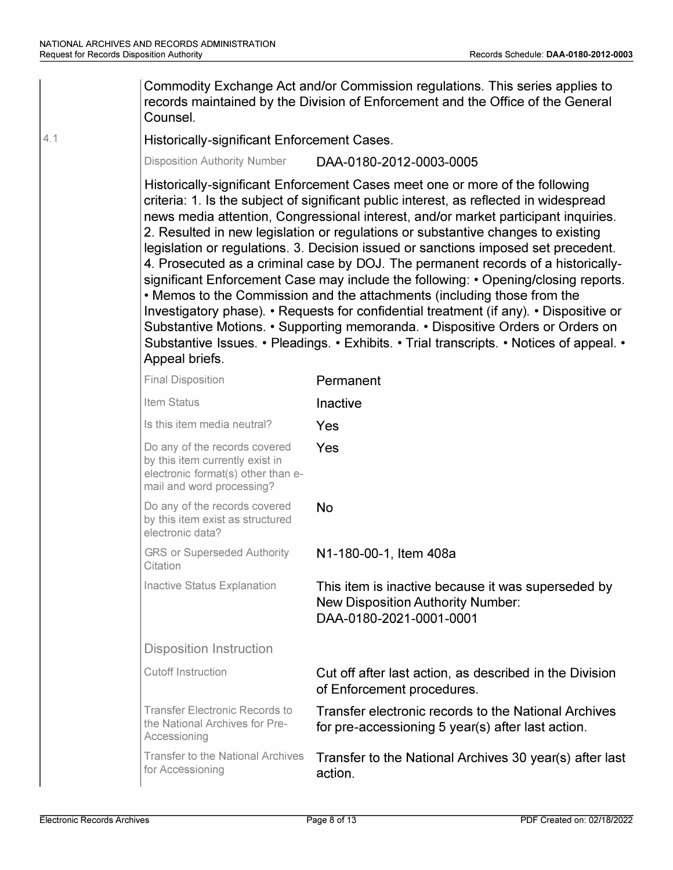4.1

for Accessioning **action**. Commodity Exchange Act and/or Commission regulations. This series applies to records maintained by the Division of Enforcement and the Office of the General Counsel. Historically-significant Enforcement Cases. Disposition Authority Number DAA-0180-2012-0003-0005 Historically-significant Enforcement Cases meet one or more of the following criteria: 1. Is the subject of significant public interest, as reflected in widespread news media attention, Congressional interest, and/or market participant inquiries. 2. Resulted in new legislation or regulations or substantive changes to existing legislation or regulations. 3. Decision issued or sanctions imposed set precedent. 4. Prosecuted as a criminal case by DOJ. The permanent records of a historicallysignificant Enforcement Case may include the following: • Opening/closing reports. • Memos to the Commission and the attachments (including those from the Investigatory phase). • Requests for confidential treatment (if any). • Dispositive or Substantive Motions. • Supporting memoranda. • Dispositive Orders or Orders on Substantive Issues. • Pleadings. • Exhibits. • Trial transcripts. • Notices of appeal. • Appeal briefs. Final Disposition **Permanent** Item Status **Inactive** Is this item media neutral? Yes Do any of the records covered **Yes**  by this item currently exist in electronic format(s) other than email and word processing? Do any of the records covered **No**  by this item exist as structured electronic data? GRS or Superseded Authority N1-180-00-1, Item 408a **Citation** Inactive Status Explanation **This item is inactive because it was superseded by** New Disposition Authority Number: DAA-0180-2021-0001-0001 Disposition Instruction Cutoff Instruction Cut off after last action, as described in the Division of Enforcement procedures. Transfer Electronic Records to **Transfer electronic records to the National Archives**<br>the National Archives for Pre-<br>**for pre-accessioning 5 year(s) after last action** for pre-accessioning 5 year(s) after last action. Accessioning Transfer to the National Archives **Transfer to the National Archives 30 year(s) after last**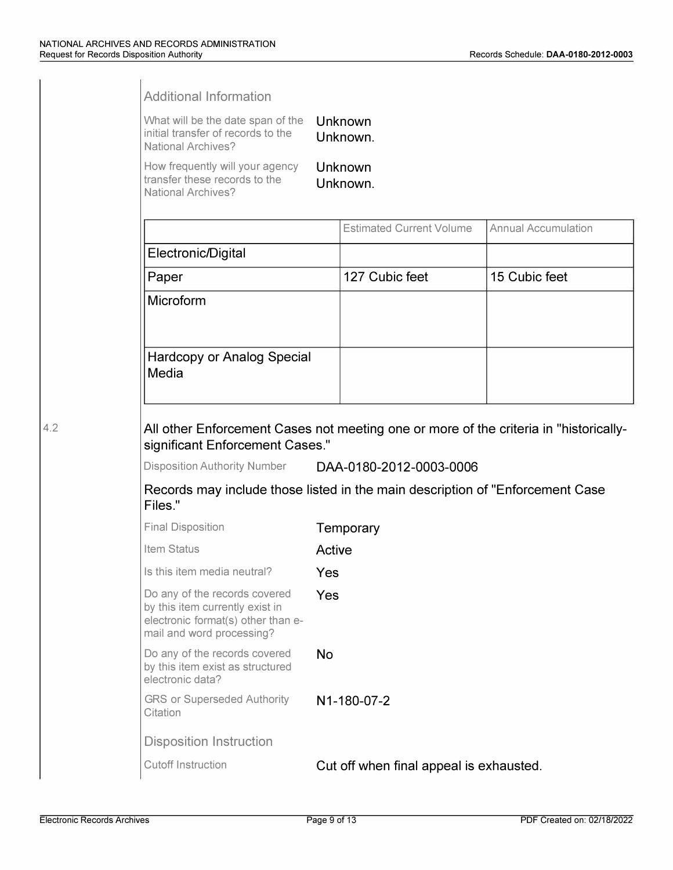| <b>Additional Information</b>                                                                                                                                                    |                     |                                 |                            |
|----------------------------------------------------------------------------------------------------------------------------------------------------------------------------------|---------------------|---------------------------------|----------------------------|
| What will be the date span of the<br>initial transfer of records to the<br><b>National Archives?</b>                                                                             | Unknown<br>Unknown. |                                 |                            |
| How frequently will your agency<br>transfer these records to the<br><b>National Archives?</b>                                                                                    |                     | Unknown<br>Unknown.             |                            |
|                                                                                                                                                                                  |                     | <b>Estimated Current Volume</b> | <b>Annual Accumulation</b> |
| Electronic/Digital                                                                                                                                                               |                     |                                 |                            |
| Paper                                                                                                                                                                            |                     | 127 Cubic feet                  | 15 Cubic feet              |
| Microform                                                                                                                                                                        |                     |                                 |                            |
| Hardcopy or Analog Special<br>Media                                                                                                                                              |                     |                                 |                            |
|                                                                                                                                                                                  |                     |                                 |                            |
| All other Enforcement Cases not meeting one or more of the criteria in "historically-<br>significant Enforcement Cases."<br>Disposition Authority Number DAA-0180-2012-0003-0006 |                     |                                 |                            |
| Records may include those listed in the main description of "Enforcement Case"<br>Files."                                                                                        |                     |                                 |                            |
|                                                                                                                                                                                  |                     | Temporary                       |                            |
| Item Status                                                                                                                                                                      | Active              |                                 |                            |
| Is this item media neutral?                                                                                                                                                      | Yes                 |                                 |                            |
| Do any of the records covered<br>by this item currently exist in<br>electronic format(s) other than e-                                                                           | Yes                 |                                 |                            |
| Do any of the records covered                                                                                                                                                    | <b>No</b>           |                                 |                            |
| <b>GRS or Superseded Authority</b><br>Citation                                                                                                                                   |                     | N1-180-07-2                     |                            |
| <b>Final Disposition</b><br>mail and word processing?<br>by this item exist as structured<br>electronic data?<br><b>Disposition Instruction</b>                                  |                     |                                 |                            |

**4.2**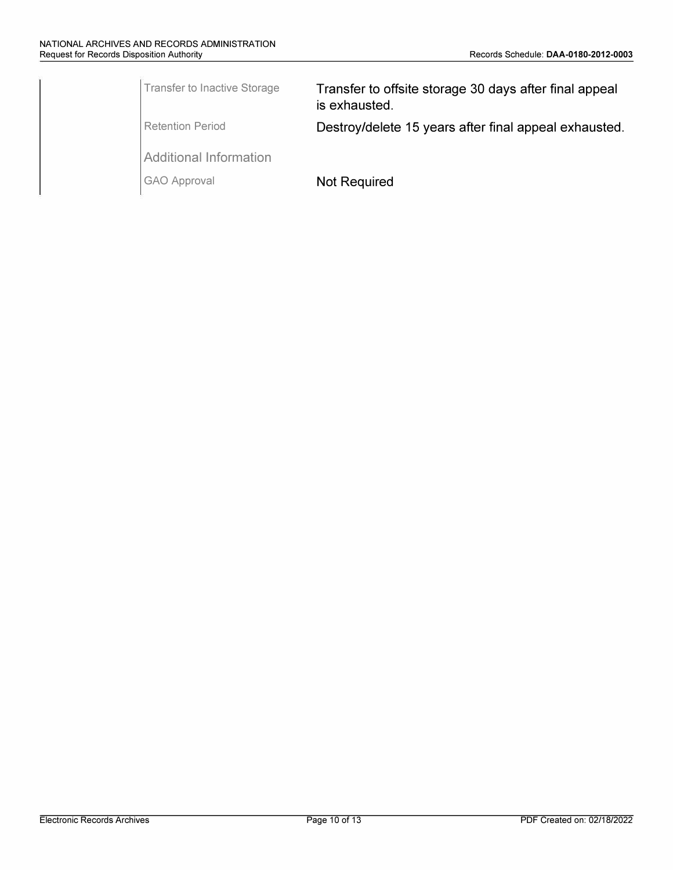| Transfer to Inactive Storage | Transfer to offsite storage 30 days after final appeal<br>is exhausted. |
|------------------------------|-------------------------------------------------------------------------|
| Retention Period             | Destroy/delete 15 years after final appeal exhausted.                   |
| Additional Information       |                                                                         |
| GAO Approval                 | <b>Not Required</b>                                                     |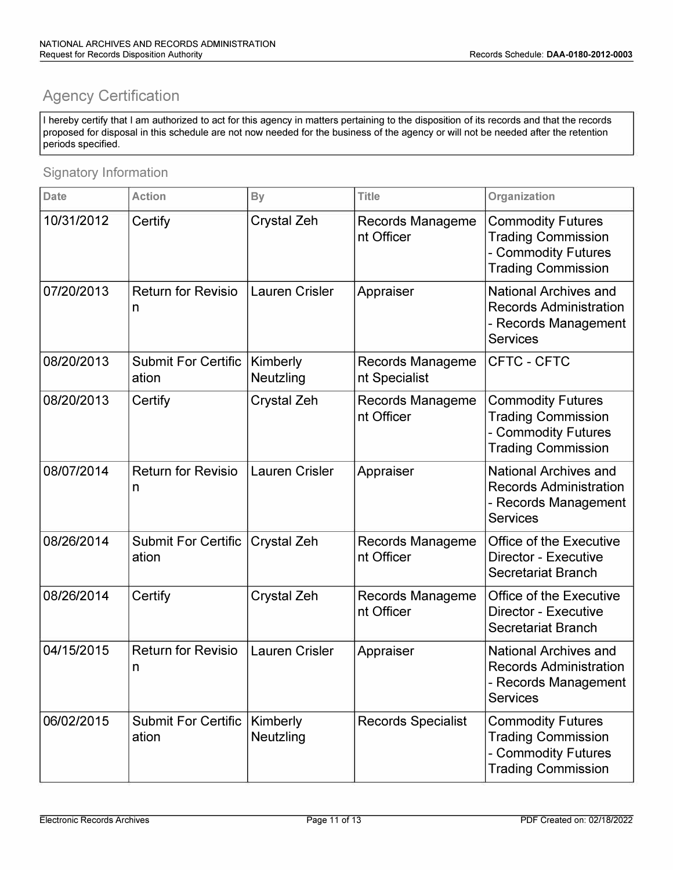## **Agency Certification**

I hereby certify that I am authorized to act for this agency in matters pertaining to the disposition of its records and that the records proposed for disposal in this schedule are not now needed for the business of the agency or will not be needed after the retention periods specified.

### Signatory Information

| <b>Date</b> | <b>Action</b>                       | <b>By</b>             | <b>Title</b>                             | Organization                                                                                              |
|-------------|-------------------------------------|-----------------------|------------------------------------------|-----------------------------------------------------------------------------------------------------------|
| 10/31/2012  | Certify                             | Crystal Zeh           | <b>Records Manageme</b><br>nt Officer    | <b>Commodity Futures</b><br><b>Trading Commission</b><br>- Commodity Futures<br><b>Trading Commission</b> |
| 07/20/2013  | <b>Return for Revisio</b><br>n      | <b>Lauren Crisler</b> | Appraiser                                | <b>National Archives and</b><br><b>Records Administration</b><br>- Records Management<br><b>Services</b>  |
| 08/20/2013  | <b>Submit For Certific</b><br>ation | Kimberly<br>Neutzling | <b>Records Manageme</b><br>nt Specialist | CFTC - CFTC                                                                                               |
| 08/20/2013  | Certify                             | <b>Crystal Zeh</b>    | Records Manageme<br>nt Officer           | <b>Commodity Futures</b><br><b>Trading Commission</b><br>- Commodity Futures<br><b>Trading Commission</b> |
| 08/07/2014  | <b>Return for Revisio</b><br>n      | <b>Lauren Crisler</b> | Appraiser                                | <b>National Archives and</b><br><b>Records Administration</b><br>- Records Management<br><b>Services</b>  |
| 08/26/2014  | <b>Submit For Certific</b><br>ation | <b>Crystal Zeh</b>    | <b>Records Manageme</b><br>nt Officer    | <b>Office of the Executive</b><br><b>Director - Executive</b><br>Secretariat Branch                       |
| 08/26/2014  | Certify                             | <b>Crystal Zeh</b>    | Records Manageme<br>nt Officer           | Office of the Executive<br><b>Director - Executive</b><br><b>Secretariat Branch</b>                       |
| 04/15/2015  | <b>Return for Revisio</b><br>n      | <b>Lauren Crisler</b> | Appraiser                                | <b>National Archives and</b><br><b>Records Administration</b><br>- Records Management<br><b>Services</b>  |
| 06/02/2015  | <b>Submit For Certific</b><br>ation | Kimberly<br>Neutzling | <b>Records Specialist</b>                | <b>Commodity Futures</b><br><b>Trading Commission</b><br>- Commodity Futures<br><b>Trading Commission</b> |